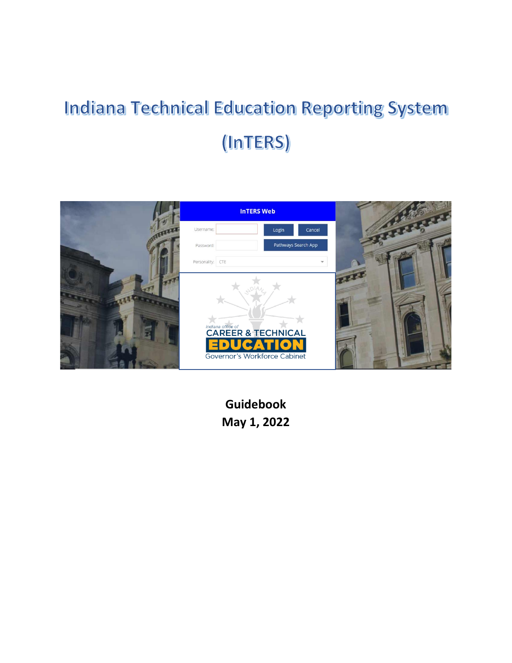# **Indiana Technical Education Reporting System** (InTERS)



**Guidebook May 1, 2022**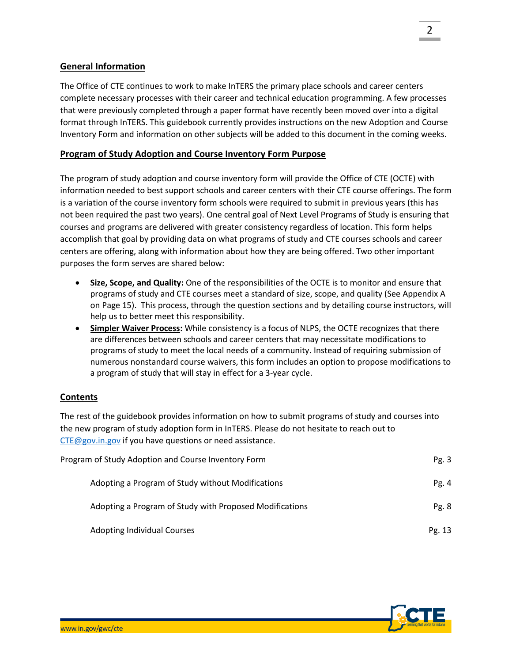# **General Information**

The Office of CTE continues to work to make InTERS the primary place schools and career centers complete necessary processes with their career and technical education programming. A few processes that were previously completed through a paper format have recently been moved over into a digital format through InTERS. This guidebook currently provides instructions on the new Adoption and Course Inventory Form and information on other subjects will be added to this document in the coming weeks.

# **Program of Study Adoption and Course Inventory Form Purpose**

The program of study adoption and course inventory form will provide the Office of CTE (OCTE) with information needed to best support schools and career centers with their CTE course offerings. The form is a variation of the course inventory form schools were required to submit in previous years (this has not been required the past two years). One central goal of Next Level Programs of Study is ensuring that courses and programs are delivered with greater consistency regardless of location. This form helps accomplish that goal by providing data on what programs of study and CTE courses schools and career centers are offering, along with information about how they are being offered. Two other important purposes the form serves are shared below:

- **Size, Scope, and Quality:** One of the responsibilities of the OCTE is to monitor and ensure that programs of study and CTE courses meet a standard of size, scope, and quality (See Appendix A on Page 15). This process, through the question sections and by detailing course instructors, will help us to better meet this responsibility.
- **Simpler Waiver Process:** While consistency is a focus of NLPS, the OCTE recognizes that there are differences between schools and career centers that may necessitate modifications to programs of study to meet the local needs of a community. Instead of requiring submission of numerous nonstandard course waivers, this form includes an option to propose modifications to a program of study that will stay in effect for a 3-year cycle.

#### **Contents**

The rest of the guidebook provides information on how to submit programs of study and courses into the new program of study adoption form in InTERS. Please do not hesitate to reach out to [CTE@gov.in.gov](mailto:CTE@gov.in.gov) if you have questions or need assistance.

| Program of Study Adoption and Course Inventory Form     |         |
|---------------------------------------------------------|---------|
| Adopting a Program of Study without Modifications       | Pg. $4$ |
| Adopting a Program of Study with Proposed Modifications | Pg.8    |
| <b>Adopting Individual Courses</b>                      | Pg. 13  |

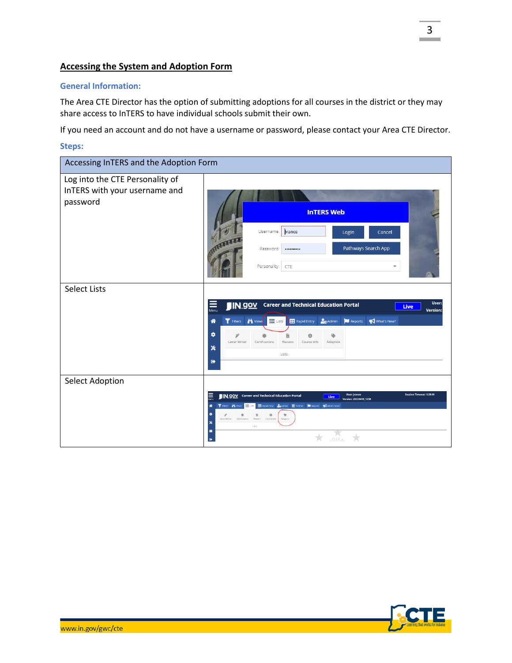# **Accessing the System and Adoption Form**

#### **General Information:**

The Area CTE Director has the option of submitting adoptions for all courses in the district or they may share access to InTERS to have individual schools submit their own.

If you need an account and do not have a username or password, please contact your Area CTE Director.

#### **Steps:**

| Accessing InTERS and the Adoption Form                                       |                                                                                                                                                                                                                                                                                                                                                                                                                                                                                        |
|------------------------------------------------------------------------------|----------------------------------------------------------------------------------------------------------------------------------------------------------------------------------------------------------------------------------------------------------------------------------------------------------------------------------------------------------------------------------------------------------------------------------------------------------------------------------------|
| Log into the CTE Personality of<br>InTERS with your username and<br>password | <b>InTERS Web</b>                                                                                                                                                                                                                                                                                                                                                                                                                                                                      |
|                                                                              | vance<br>Username:<br>Login<br>Cancel<br>Pathways Search App<br>Password:<br><br>Personality:<br>CTE<br>v                                                                                                                                                                                                                                                                                                                                                                              |
| <b>Select Lists</b>                                                          | User:<br><b>IN.90V</b> Career and Technical Education Portal<br>Live<br>Menu<br><b>Version:</b><br>Filters <b>in</b> Views<br><b>O</b> Admin<br>$\equiv$ Lists<br><b>Rapid Entry</b><br>Reports<br>What's New?<br>合<br>$\bullet$<br>ℱ<br>o<br>B<br>G<br>Letter Writer<br>Certifications<br>Waivers<br>Course Info<br>Adoption<br>$\boldsymbol{\mathsf{x}}$                                                                                                                             |
| Select Adoption                                                              | Lists<br>$\bullet$<br><b>Session Timeout: 1:29:30</b><br>言<br><b>User: ivance</b><br><b>IN.90V</b> Career and Technical Education Portal<br>Live<br>Version: 20220418_1238<br>T Fiters <b>A</b> Vens E USS<br>Rapid Entry Coldmin III PostSec   Reports What's Newl<br>倄<br>۰<br>$\bullet$<br>۰<br>в<br>Letter Writer Certifications<br>Waivers Course Info<br>Adaption<br>$\boldsymbol{\ast}$<br>Lists<br>$\blacksquare$<br>$\sqrt{\frac{1}{4}}$<br>$\frac{1}{\sqrt{2}}$<br>$\bullet$ |

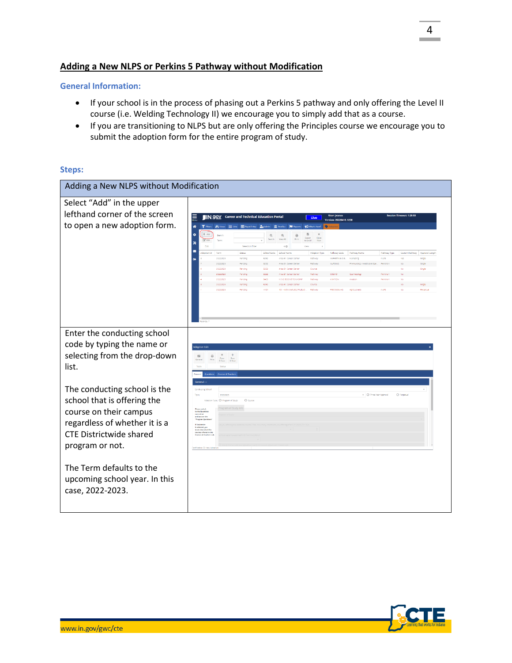# **Adding a New NLPS or Perkins 5 Pathway without Modification**

#### **General Information:**

- If your school is in the process of phasing out a Perkins 5 pathway and only offering the Level II course (i.e. Welding Technology II) we encourage you to simply add that as a course.
- If you are transitioning to NLPS but are only offering the Principles course we encourage you to submit the adoption form for the entire program of study.

#### **Steps:**

| Adding a New NLPS without Modification |                                                                                                                                                                                                                                                                                                       |          |  |  |
|----------------------------------------|-------------------------------------------------------------------------------------------------------------------------------------------------------------------------------------------------------------------------------------------------------------------------------------------------------|----------|--|--|
| Select "Add" in the upper              |                                                                                                                                                                                                                                                                                                       |          |  |  |
| lefthand corner of the screen          | on Timeout: 1:28:53<br>≣<br><b>User: jvance</b><br><b>IN.GOV</b> Career and Technical Education Portal<br>Live<br>Version: 20220418 1238                                                                                                                                                              |          |  |  |
| to open a new adoption form.           | $\bullet$<br>i <sup>4</sup> Vews   □ USts   田 Rapid Entry   2 <sub>0</sub> Admin   宜 Postfec<br><b>T</b> Fitters<br>What's New<br><b>B</b> Report                                                                                                                                                     |          |  |  |
|                                        | $+$ Add<br>۰<br>B<br>$\boldsymbol{\times}$<br>$^{\circ}$<br>Search<br>$\mathbf{Q}$<br>$\Theta$<br>Export<br>Close<br>Search<br>Mary All<br>Drive<br><b>B</b> <sup>c</sup> Eqs.<br>Term<br>to Evret                                                                                                    |          |  |  |
|                                        | ×<br>Selection Filte<br>ο<br>м                                                                                                                                                                                                                                                                        |          |  |  |
|                                        | direction<br>Term<br>Status<br>School Code<br><b>School Name</b><br>Adoption Type<br>Pathway Code<br><b>Pathway Name</b><br>Pathway Type<br>Custom Pathway Approval Length<br>20222023<br>Pending<br>5252<br>Area 31 Career Center<br>Darhusa.<br>MARKETING OVE<br>Marketing<br>NIDS<br>Vat<br>single |          |  |  |
|                                        | 20222023<br>5252<br>NURSING<br>Pre-Nursing / Healthcare Spe.<br>Periding V<br>Pending<br>Area 31 Career Center<br>Pathway<br>Single                                                                                                                                                                   |          |  |  |
|                                        | 20222022<br>5252<br>Pending<br>Area 31 Career Cente<br>Course<br>Single<br>20222023<br>Pending<br>5252<br>Area 31 Career Center<br>Pathway<br>COSMO<br>Cosmetolog.<br>Perkins V<br>No                                                                                                                 |          |  |  |
|                                        | <b>AVANTIQUE</b><br>20222023<br>6400<br>Pathway<br>Pending<br>M S D ROONS TOWNSHIP<br><b>Autorion</b><br><b>Perishe V</b><br>No                                                                                                                                                                       |          |  |  |
|                                        | 20222023<br>Pending<br>5252<br>Area 31 Career Center<br>Course<br>20222023<br>Pending<br>HTOT<br>TOTH NEW CARLISLE PUBLIC<br>Pathway<br>PRECISION AG<br>Apribusiness<br><b>NUPS</b>                                                                                                                   | Perdetua |  |  |
|                                        |                                                                                                                                                                                                                                                                                                       |          |  |  |
| Enter the conducting school            |                                                                                                                                                                                                                                                                                                       |          |  |  |
|                                        |                                                                                                                                                                                                                                                                                                       |          |  |  |
| code by typing the name or             | <b>Adoption Edit</b>                                                                                                                                                                                                                                                                                  |          |  |  |
| selecting from the drop-down           | $+$<br>$\mathbf{x}$<br>$\Box$<br>55<br>$\frac{Case}{8.5nm}$<br>$\frac{5\pi\alpha}{\hbar\text{N}}$<br>Genera                                                                                                                                                                                           |          |  |  |
| list.                                  | Status                                                                                                                                                                                                                                                                                                |          |  |  |
|                                        | Courses & Teacher                                                                                                                                                                                                                                                                                     |          |  |  |
|                                        |                                                                                                                                                                                                                                                                                                       |          |  |  |
| The conducting school is the           | Conducting School<br>- O Three Year Approve<br>O Perpetual<br>20222021                                                                                                                                                                                                                                |          |  |  |
| school that is offering the            | O Program of Study<br>O Course                                                                                                                                                                                                                                                                        |          |  |  |
|                                        | Please welch                                                                                                                                                                                                                                                                                          |          |  |  |
| course on their campus                 | to the Questions<br>tals to find<br>and answer the<br>"Program Quests                                                                                                                                                                                                                                 |          |  |  |
| regardless of whether it is a          | If Customize                                                                                                                                                                                                                                                                                          |          |  |  |
| <b>CTE Districtwide shared</b>         | is selected, you<br>must also select the<br>courses offered in the<br>Courses & Teachers tal                                                                                                                                                                                                          |          |  |  |
|                                        |                                                                                                                                                                                                                                                                                                       |          |  |  |
| program or not.                        |                                                                                                                                                                                                                                                                                                       |          |  |  |
|                                        |                                                                                                                                                                                                                                                                                                       |          |  |  |
| The Term defaults to the               |                                                                                                                                                                                                                                                                                                       |          |  |  |
|                                        |                                                                                                                                                                                                                                                                                                       |          |  |  |
| upcoming school year. In this          |                                                                                                                                                                                                                                                                                                       |          |  |  |
| case, 2022-2023.                       |                                                                                                                                                                                                                                                                                                       |          |  |  |
|                                        |                                                                                                                                                                                                                                                                                                       |          |  |  |
|                                        |                                                                                                                                                                                                                                                                                                       |          |  |  |
|                                        |                                                                                                                                                                                                                                                                                                       |          |  |  |



4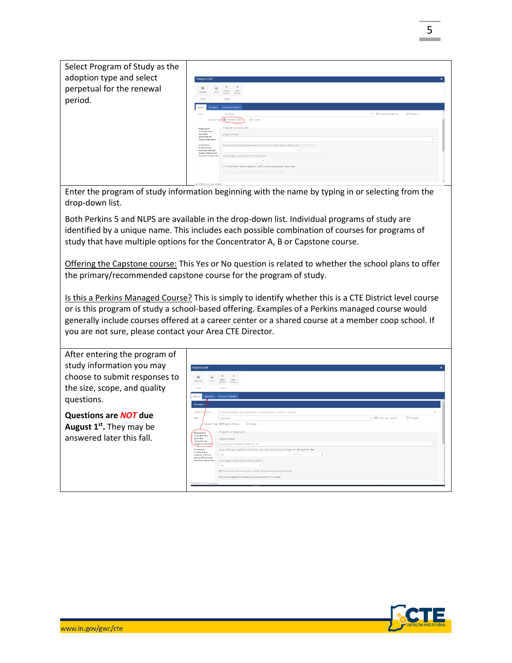| Select Program of Study as the |                                                                                                                                                  |                                                                                                                                                                 |                                          |
|--------------------------------|--------------------------------------------------------------------------------------------------------------------------------------------------|-----------------------------------------------------------------------------------------------------------------------------------------------------------------|------------------------------------------|
| adoption type and select       | <b>Adoption Edit</b>                                                                                                                             |                                                                                                                                                                 |                                          |
| perpetual for the renewal      | 田<br>₽<br>Close<br>Print<br>General<br>& Save<br><b>E. Nowt</b>                                                                                  |                                                                                                                                                                 |                                          |
| period.                        | Tools<br>Status.                                                                                                                                 |                                                                                                                                                                 |                                          |
|                                | Ouestions Courses & Teachers<br>General                                                                                                          |                                                                                                                                                                 |                                          |
|                                | Term<br>20222023<br>Adoption Type O Program of Study                                                                                             | O Course                                                                                                                                                        | v   @ Three Year Approval<br>O Perpetual |
|                                | Program of Study Info.<br><b>Please vallely</b><br>to the Questions<br>tab to find<br>Program of Study:<br>and anower the<br>"From am Questions" |                                                                                                                                                                 | $\overline{\phantom{a}}$                 |
|                                | If Customize<br>is selected, you<br>must also select the<br>courses offered in the<br>Courses & Teachers tab.                                    | Are you offering the capstone course? If so, how many credits are you offering it for?. If Credits for Year<br>is this program supported with Perkins dollars?: |                                          |
|                                |                                                                                                                                                  | Would like to make a proposal to modify the course sequence? (Customize)<br>What is the proposed modification and justification for the change?                 |                                          |

Enter the program of study information beginning with the name by typing in or selecting from the drop-down list.

Both Perkins 5 and NLPS are available in the drop-down list. Individual programs of study are identified by a unique name. This includes each possible combination of courses for programs of study that have multiple options for the Concentrator A, B or Capstone course.

Offering the Capstone course: This Yes or No question is related to whether the school plans to offer the primary/recommended capstone course for the program of study.

Is this a Perkins Managed Course? This is simply to identify whether this is a CTE District level course or is this program of study a school-based offering. Examples of a Perkins managed course would generally include courses offered at a career center or a shared course at a member coop school. If you are not sure, please contact your Area CTE Director.

| After entering the program of<br>study information you may<br>choose to submit responses to<br>the size, scope, and quality<br>questions. | <b>Adoption Edit</b><br>四<br>Close<br>Save<br>General<br><b>Save</b><br>& Next<br>Tools<br>Status<br>Courses & Teachers<br>General I<br><b>Ouestions</b><br>General -                                                                                                                                                                                                                                                                                                                                                                                                                                                                                                                                                                                                                                                                                                                                                   |  |
|-------------------------------------------------------------------------------------------------------------------------------------------|-------------------------------------------------------------------------------------------------------------------------------------------------------------------------------------------------------------------------------------------------------------------------------------------------------------------------------------------------------------------------------------------------------------------------------------------------------------------------------------------------------------------------------------------------------------------------------------------------------------------------------------------------------------------------------------------------------------------------------------------------------------------------------------------------------------------------------------------------------------------------------------------------------------------------|--|
| <b>Questions are NOT due</b><br>August 1 <sup>st</sup> . They may be<br>answered later this fall.                                         | Conduction school:<br>(0021) ADAMS CENTRAL HIGH SCHOOL - ADAMS CENTRAL COMMUNITY SCHOOL<br>O Perpetual<br><b>O</b> Three Year Approval<br>20222023<br>Term:<br>٠<br>Adoption Type: @ Program of Study<br>O course<br>- Program of Study Info<br>Please switch<br>to the Questions<br>tab to find<br>Program of Study:<br>and answer the<br>Accounting and Finance (ACCOUNT) P-9<br><b>Program Questions'</b><br>Are you offering the capstone course? If so, how many credits are you offering it for? # Credits for Year.<br>If Customize<br>is selected, you<br>$- 6$<br>Yes.<br>must also solect the<br>$\sim$<br>courses offered in the<br>Courses & Teachers tab.<br>is this program supported with Perkins dollars?<br>Yes.<br>Would like to make a procosal to modify the course sequence? (Customize)<br>What is the proposed modification and justification for the change?.<br>Cortification ID: New Adoption |  |

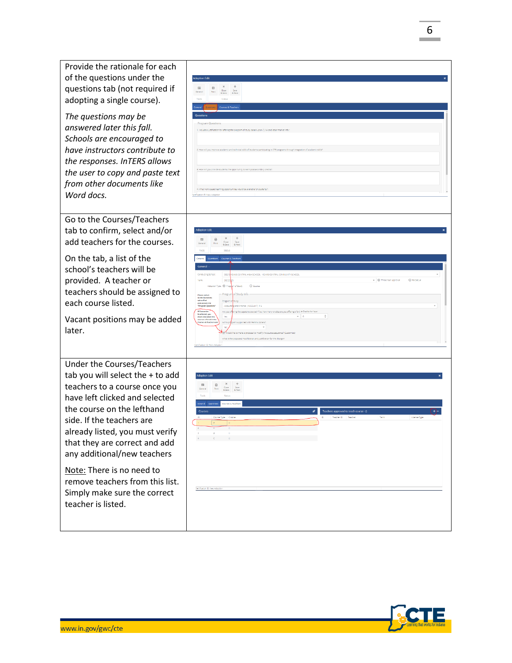*The questions may be answered later this fall. Schools are encouraged to have instructors contribute to the responses. InTERS allows the user to copy and paste text from other documents like Word docs.*

Provide the rationale for each of the questions under the questions tab (not required if adopting a single course ).

 $\frac{120}{3}$   $\frac{12}{10}$   $\frac{12}{10}$   $\frac{12}{10}$   $\frac{12}{10}$   $\frac{12}{10}$   $\frac{12}{10}$   $\frac{12}{10}$   $\frac{12}{10}$   $\frac{12}{10}$   $\frac{12}{10}$   $\frac{12}{10}$   $\frac{12}{10}$   $\frac{12}{10}$   $\frac{12}{10}$   $\frac{12}{10}$   $\frac{12}{10}$   $\frac{12}{10}$   $\frac{1$ 

Go to the Courses /Teachers tab to confirm, select and/or add teachers for the course s.

On the tab, a list of the school ' s teachers will be provided. A teacher or teachers should be assigned to each course listed.

Vacant positions may be added later.

Under the Courses/Teachers tab you will select the + to add teachers to a course once you have left clicked and selected the course on the lefthand side. If the teachers are already listed, you must verify that they are correct and add any additional/new teachers

Note: There is no need to remove teachers from this list. Simply make sure the correct teacher is listed.





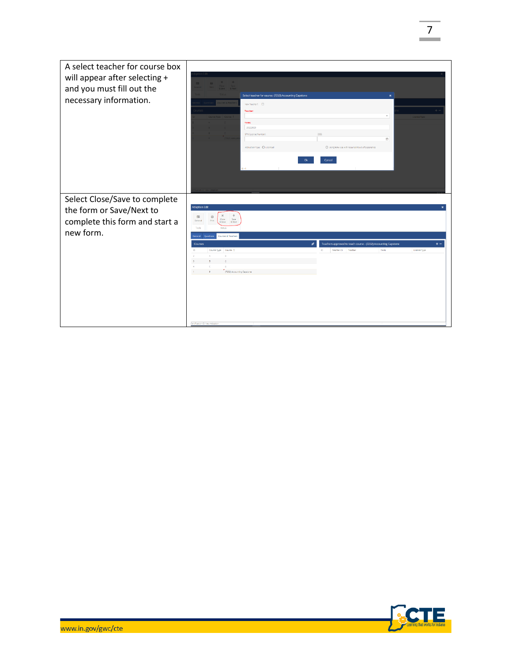| A select teacher for course box<br>will appear after selecting +<br>and you must fill out the<br>necessary information. | Select teacher for course: (7252) Accounting Capstone<br>New Teacher?: 0<br>Teacher<br>$_{\rm w}$<br>cense Type<br>Term<br>20222023<br>DOB:<br>SPN (License Number)<br>m<br>Instruction Type: O Licensed<br>O Using 50% rule with required hours of experience<br>Cancel<br>Ok                                                                                                                                                  |
|-------------------------------------------------------------------------------------------------------------------------|---------------------------------------------------------------------------------------------------------------------------------------------------------------------------------------------------------------------------------------------------------------------------------------------------------------------------------------------------------------------------------------------------------------------------------|
| Select Close/Save to complete<br>the form or Save/Next to<br>complete this form and start a<br>new form.                | <b>Adoption Edit</b><br>÷<br>$\times$<br>园<br>₿<br>Close<br>& Save<br>Save<br>& Next<br>General<br>Tools<br>Status<br>Courses & Teachers<br>General Question<br>$+ -$<br>Teachers approved to teach course - (7252) Accounting Capstone<br><b>Courses</b><br>Course Type Course T<br>$\mathbf{D}$<br>Teacher ID Teacher<br>Term<br>License Type<br>$\mathbf{r}$<br>(7252) Accounting Capstone<br>Certification ID: New Adoption |



7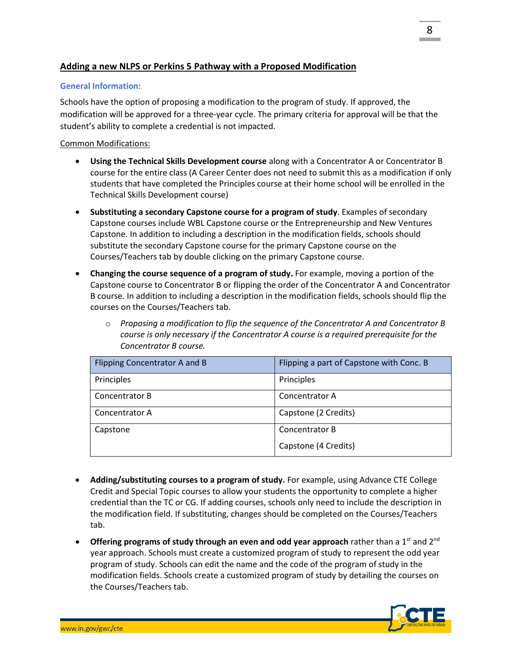# **Adding a new NLPS or Perkins 5 Pathway with a Proposed Modification**

#### **General Information:**

Schools have the option of proposing a modification to the program of study. If approved, the modification will be approved for a three-year cycle. The primary criteria for approval will be that the student's ability to complete a credential is not impacted.

## Common Modifications:

- **Using the Technical Skills Development course** along with a Concentrator A or Concentrator B course for the entire class (A Career Center does not need to submit this as a modification if only students that have completed the Principles course at their home school will be enrolled in the Technical Skills Development course)
- **Substituting a secondary Capstone course for a program of study**. Examples of secondary Capstone courses include WBL Capstone course or the Entrepreneurship and New Ventures Capstone. In addition to including a description in the modification fields, schools should substitute the secondary Capstone course for the primary Capstone course on the Courses/Teachers tab by double clicking on the primary Capstone course.
- **Changing the course sequence of a program of study.** For example, moving a portion of the Capstone course to Concentrator B or flipping the order of the Concentrator A and Concentrator B course. In addition to including a description in the modification fields, schools should flip the courses on the Courses/Teachers tab.
	- o *Proposing a modification to flip the sequence of the Concentrator A and Concentrator B course is only necessary if the Concentrator A course is a required prerequisite for the Concentrator B course.*

| Flipping Concentrator A and B | Flipping a part of Capstone with Conc. B |
|-------------------------------|------------------------------------------|
| Principles                    | Principles                               |
| Concentrator B                | Concentrator A                           |
| Concentrator A                | Capstone (2 Credits)                     |
| Capstone                      | Concentrator B                           |
|                               | Capstone (4 Credits)                     |

- **Adding/substituting courses to a program of study.** For example, using Advance CTE College Credit and Special Topic courses to allow your students the opportunity to complete a higher credential than the TC or CG. If adding courses, schools only need to include the description in the modification field. If substituting, changes should be completed on the Courses/Teachers tab.
- **Offering programs of study through an even and odd year approach** rather than a 1<sup>st</sup> and 2<sup>nd</sup> year approach. Schools must create a customized program of study to represent the odd year program of study. Schools can edit the name and the code of the program of study in the modification fields. Schools create a customized program of study by detailing the courses on the Courses/Teachers tab.

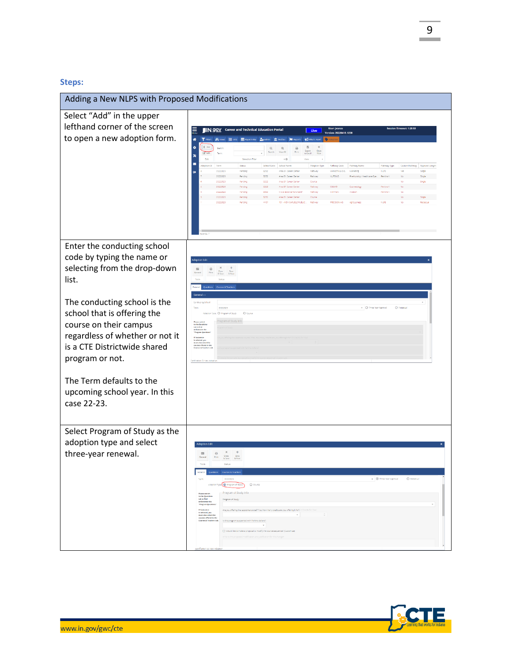## **Steps:**

| Select "Add" in the upper<br>lefthand corner of the screen<br>IN.90V Career and Technical Education Portal<br>User: jvance<br>Live<br>Version: 20220418 1238<br>to open a new adoption form.<br>T Fitters<br>M Views E USts E Rapid Entry 204dmin<br>B<br>۰<br>$\hbox{\tt Q}$<br>$^\circledR$<br>₿<br>Search<br>×<br>Selection Filter<br>$4 - 12$<br>VIAW<br>Pathway Code<br>Cli nation <sup>10</sup><br>Term<br>Status<br>School Code<br>School Name<br>Adoption Type<br><b>Pathway Name</b><br>Pathway Type<br>Custom Pathway   Approval Lengt<br>20222023<br>5252<br>MARKETING DIG.<br><b>NLPS</b><br>Pending<br>Area 31 Career Center<br>Pathway<br>Yes<br>Marketing<br>single<br>20222023<br>5252<br><b>NURSING</b><br>Pending<br>Area 31 Career Center<br>Pathway<br>Pre-Nursing / Healthcare Spe.<br>Periding V<br>Single<br>20222023<br>Pending<br>5252<br>Area 31 Career Center<br>Course<br>Single<br>20222029<br>Pending<br>5252<br>Area 91 Career Center<br>Pathway<br>COSMO<br>Perkins V<br>Cosmetology<br>6400<br>M S D ROOM TOWNSHIP<br><b>MATION</b><br>20222023<br>Pending<br>Pathway<br><b>Porking</b> V<br>20222023<br>5252<br>Pending<br>Area 31 Career Center<br>Course<br>20222023<br>101 - NEW CARLISLE PUBLIC<br>PRECISION AG<br>Pending<br>Pathway<br>Apribusiness<br>NLP5<br>Enter the conducting school<br>code by typing the name or<br><b>Adoption Edit</b><br>selecting from the drop-down<br>$\pmb{\times}$<br>$\ddot{}$<br>₿<br>$\Box$<br>Save<br>& New<br>$\frac{Case}{8.5 one}$<br>list.<br>Status<br>Courtes & Teacher<br>General |  |
|----------------------------------------------------------------------------------------------------------------------------------------------------------------------------------------------------------------------------------------------------------------------------------------------------------------------------------------------------------------------------------------------------------------------------------------------------------------------------------------------------------------------------------------------------------------------------------------------------------------------------------------------------------------------------------------------------------------------------------------------------------------------------------------------------------------------------------------------------------------------------------------------------------------------------------------------------------------------------------------------------------------------------------------------------------------------------------------------------------------------------------------------------------------------------------------------------------------------------------------------------------------------------------------------------------------------------------------------------------------------------------------------------------------------------------------------------------------------------------------------------------------------------------------------------------------------|--|
|                                                                                                                                                                                                                                                                                                                                                                                                                                                                                                                                                                                                                                                                                                                                                                                                                                                                                                                                                                                                                                                                                                                                                                                                                                                                                                                                                                                                                                                                                                                                                                      |  |
|                                                                                                                                                                                                                                                                                                                                                                                                                                                                                                                                                                                                                                                                                                                                                                                                                                                                                                                                                                                                                                                                                                                                                                                                                                                                                                                                                                                                                                                                                                                                                                      |  |
|                                                                                                                                                                                                                                                                                                                                                                                                                                                                                                                                                                                                                                                                                                                                                                                                                                                                                                                                                                                                                                                                                                                                                                                                                                                                                                                                                                                                                                                                                                                                                                      |  |
| The conducting school is the<br>Conducting School<br>- O Three Year Approval<br>O Perpetual<br>20222023<br>school that is offering the<br>Adoption Type: O Program of Study<br>O Course<br>Please switch<br>to the Questions<br>tab to find<br>course on their campus<br>and answer the<br><b>Program Questi</b><br>regardless of whether or not it<br>If Customize<br>n concernation<br>must also select the<br>courses offered in the<br>Courses & Teachers ta<br>is a CTE Districtwide shared<br>program or not.<br>Certification ID: New Ad                                                                                                                                                                                                                                                                                                                                                                                                                                                                                                                                                                                                                                                                                                                                                                                                                                                                                                                                                                                                                      |  |
| The Term defaults to the<br>upcoming school year. In this<br>case 22-23.                                                                                                                                                                                                                                                                                                                                                                                                                                                                                                                                                                                                                                                                                                                                                                                                                                                                                                                                                                                                                                                                                                                                                                                                                                                                                                                                                                                                                                                                                             |  |
| Select Program of Study as the<br>adoption type and select<br>three-year renewal.<br>₿<br>Save<br>E Nost<br>General Questions Courses & Teachers<br>v O Three Year Approval<br>O Perpetual<br>20222023<br>Term<br>Program of Study Info<br>Please mitch<br>to the Questions<br>tab to find<br>Program of Study:<br>and answer the<br>"Program Questions"<br>If Custannize<br>is subected, you<br>must also select the<br>Are you offering the capstone course? If so, how many credits are you offering it for?, in Credits for You<br>$\sim$<br>courses offered in the<br>is this program supported with Perkins dollars?<br>Courses & Teachers tab.<br>Would like to make a proposal to modify the course sequence? (Customize)<br>what is the proposed modification and justification for the change                                                                                                                                                                                                                                                                                                                                                                                                                                                                                                                                                                                                                                                                                                                                                              |  |

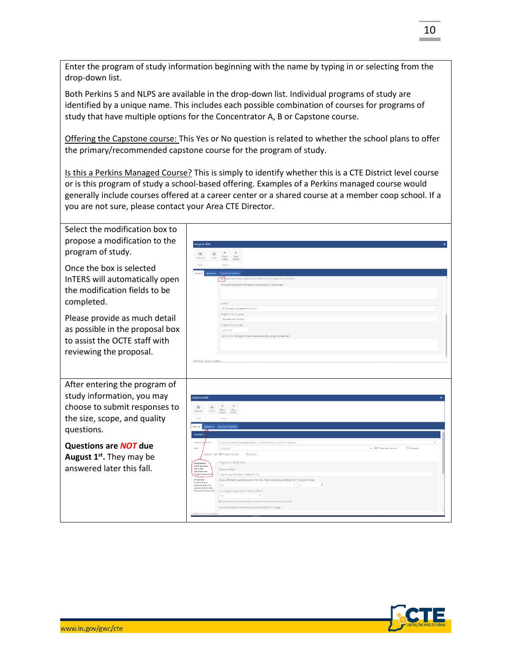Enter the program of study information beginning with the name by typing in or selecting from the drop-down list.

Both Perkins 5 and NLPS are available in the drop-down list. Individual programs of study are identified by a unique name. This includes each possible combination of courses for programs of study that have multiple options for the Concentrator A, B or Capstone course.

Offering the Capstone course: This Yes or No question is related to whether the school plans to offer the primary/recommended capstone course for the program of study.

Is this a Perkins Managed Course? This is simply to identify whether this is a CTE District level course or is this program of study a school-based offering. Examples of a Perkins managed course would generally include courses offered at a career center or a shared course at a member coop school. If a you are not sure, please contact your Area CTE Director.

| Select the modification box to<br>propose a modification to the<br>program of study.<br>Once the box is selected<br>InTERS will automatically open<br>the modification fields to be<br>completed. | dontion Edit<br>$\pmb{\times}$<br>$\Box$<br>ED<br>Close<br>& Save<br>& Next<br><b>Statu</b><br>Courses & Teacher<br>[w] louid like to make a proposal to modify the course sequence? (Customize<br>What is the proposed modification and justification for the change?<br>Clumer<br>08 Business, Management, & Admir                                                                                                                                                                                                                                                                                                                                                                                                                                                                                                                                                                  |
|---------------------------------------------------------------------------------------------------------------------------------------------------------------------------------------------------|---------------------------------------------------------------------------------------------------------------------------------------------------------------------------------------------------------------------------------------------------------------------------------------------------------------------------------------------------------------------------------------------------------------------------------------------------------------------------------------------------------------------------------------------------------------------------------------------------------------------------------------------------------------------------------------------------------------------------------------------------------------------------------------------------------------------------------------------------------------------------------------|
| Please provide as much detail<br>as possible in the proposal box<br>to assist the OCTE staff with<br>reviewing the proposal.                                                                      | Program of Study Name<br>Business Administratio<br>Program of Study Code<br><b>ACCOUNT</b><br>How will this modification impact the student's ability to earn a credential<br>Sertification ID: New Adoptio                                                                                                                                                                                                                                                                                                                                                                                                                                                                                                                                                                                                                                                                           |
| After entering the program of<br>study information, you may<br>choose to submit responses to<br>the size, scope, and quality<br>questions.                                                        | <b>Adoption Edit</b><br>$\times$<br>$\qquad \qquad \Box$<br>国<br>$\cos$<br>Gerera<br>Print<br>& Save<br>8. Next<br>Tools<br>Status<br>General<br>Courses & Teache<br>General                                                                                                                                                                                                                                                                                                                                                                                                                                                                                                                                                                                                                                                                                                          |
| Questions are <b>NOT</b> due<br>August 1 <sup>st</sup> . They may be<br>answered later this fall.                                                                                                 | Conduct<br>(0021) ADAMS CENTRAL HIGH SCHOOL - ADAMS CENTRAL COMMUNITY SCHOOL<br>- O Three Year Approval<br>O Perpetual<br>Term<br>20222029<br>Adoption Type: @ Program of Study<br>O course<br>Program of Study Info<br>Please switch<br>to the Question<br>tab to find<br>Program of Study:<br>and answer th<br><b>Program Questio</b><br>Accounting and Finance [ACCOUNT] P-9<br>If Customize<br>Are you offering the capstone course? If so, how many credits are you offering it for? # Credits for Year.<br>is selected, you<br>÷<br>$-16$<br>most also solars the<br>Yes.<br>courses offered in the<br><b>Courses &amp; Teachers tab.</b><br>is this program supported with Perkins dollars?<br>Yos<br>Would like to make a proposal to modify the course sequence? (Customize<br>What is the proposed modification and justification for the change<br>write-steel IT Also Adm |

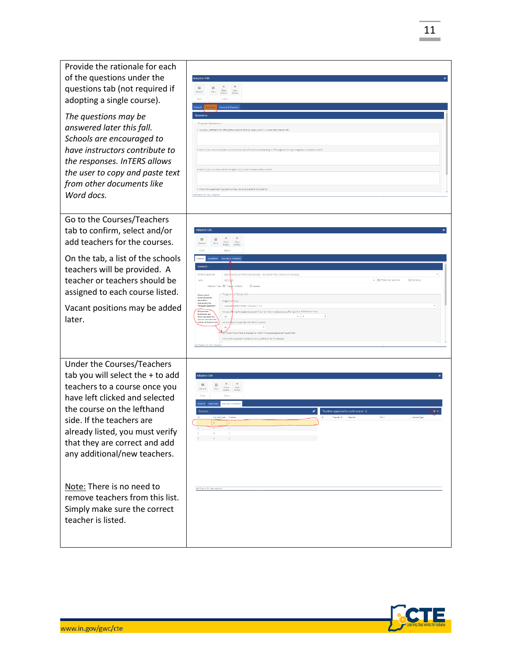Provide the rationale for each of the questions under the questions tab (not required if  $\begin{array}{ccccc}\n\bigoplus & X & + \\
\text{Price} & \text{Close} & \text{Spec} \\
\end{array}$ adopting a single course). *The questions may be answered later this fall. Schools are encouraged to have instructors contribute to the responses. InTERS allows the user to copy and paste text from other documents like Word docs.* Go to the Courses/Teachers tab to confirm, select and/or add teachers for the courses. On the tab, a list of the schools teachers will be provided. A teacher or teachers should be O Pemetus assigned to each course listed. Vacant positions may be added later. Under the Courses/Teachers tab you will select the + to add teachers to a course once you A X +<br>Print Close Save have left clicked and selected the course on the lefthand side. If the teachers are already listed, you must verify that they are correct and add any additional/new teachers . Note: There is no need to remove teachers from this list. Simply make sure the correct teacher is listed.

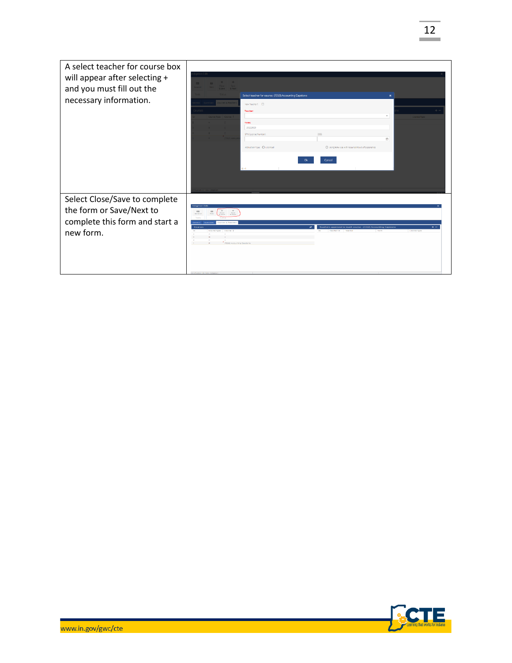| A select teacher for course box<br>will appear after selecting +<br>and you must fill out the<br>necessary information. | tet A Teache                                                                                                                                                                                                                       | Select teacher for course: (7252) Accounting Capstone<br>New Teacher?: 0<br><b>Teacher:</b><br>Torm<br>20222023 |                                                                                                        |                             |
|-------------------------------------------------------------------------------------------------------------------------|------------------------------------------------------------------------------------------------------------------------------------------------------------------------------------------------------------------------------------|-----------------------------------------------------------------------------------------------------------------|--------------------------------------------------------------------------------------------------------|-----------------------------|
|                                                                                                                         |                                                                                                                                                                                                                                    | SPN (License Number)<br>Instruction Type: O Licensed                                                            | DOB:<br>O Using 50% rule with required hours of experience<br>Cancel                                   | m                           |
| Select Close/Save to complete<br>the form or Save/Next to<br>complete this form and start a<br>new form.                | doption Edi<br>$rac{26}{65000}$<br>$\frac{+}{\sqrt{2}}$<br>$\qquad \qquad \qquad \qquad \qquad \qquad \qquad \qquad \qquad \qquad$<br>$\infty$<br>ourses & Teacher<br>Courses<br>Course Type Course 1<br>(7282) Accounting Capitol |                                                                                                                 | ø<br>Teachers approved to teach course - (7252) Accounting Capstone<br>Teacher (O)<br>Teachers<br>Term | . .<br><b>Lingwood Tune</b> |

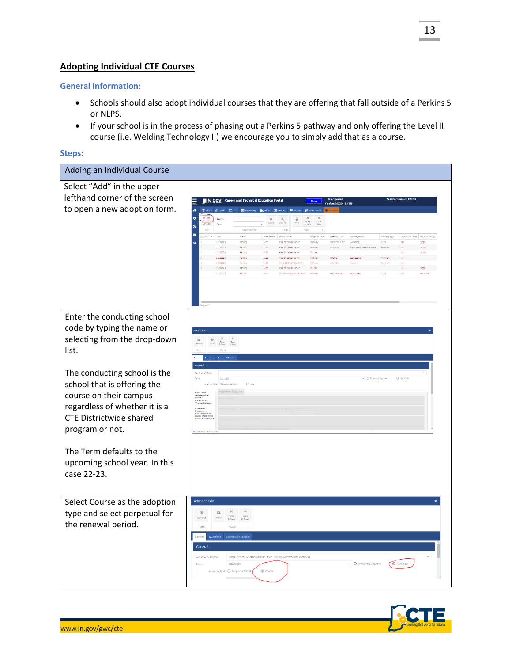# **Adopting Individual CTE Courses**

#### **General Information:**

- Schools should also adopt individual courses that they are offering that fall outside of a Perkins 5 or NLPS.
- If your school is in the process of phasing out a Perkins 5 pathway and only offering the Level II course (i.e. Welding Technology II) we encourage you to simply add that as a course.

#### **Steps:**

| Adding an Individual Course                                                                                                                                                 |                                                                                                                                                                                                                                                                                                                                                                                                                                                                                                                                                                                                                                                                                                                                                                                                                                                                                                                                                                                                                                                                                                                                                                                                                                                                                              |
|-----------------------------------------------------------------------------------------------------------------------------------------------------------------------------|----------------------------------------------------------------------------------------------------------------------------------------------------------------------------------------------------------------------------------------------------------------------------------------------------------------------------------------------------------------------------------------------------------------------------------------------------------------------------------------------------------------------------------------------------------------------------------------------------------------------------------------------------------------------------------------------------------------------------------------------------------------------------------------------------------------------------------------------------------------------------------------------------------------------------------------------------------------------------------------------------------------------------------------------------------------------------------------------------------------------------------------------------------------------------------------------------------------------------------------------------------------------------------------------|
| Select "Add" in the upper<br>lefthand corner of the screen<br>to open a new adoption form.                                                                                  | <b>IN.90V</b> Career and Technical Education Portal<br>User: jvanc<br>Live<br>Version: 20220418_1238<br>A vews E uss<br><b>EB</b> Rapid Entry<br><b>Section</b><br>m Postfer<br><b>Inches</b><br>What's New<br>۰<br>B<br>$\mathsf{Q}_i$<br>$^{\circ}$<br>₿<br>Close<br>View<br>Export<br>to Excel<br>View All<br>Term<br>×<br>Selection Filter<br>$4 - 12$<br>View<br>ь<br>Term<br>Status<br>School Code School Name<br>Adoption Type<br>Pathway Code<br><b>Pathway Name</b><br>Pathway Type<br>Custom Pathway   Approval Length<br>Cli rattagb<br>MARKETING DIG.<br><b>NLPS</b><br>20222023<br>5252<br>Marketing<br>Pending<br>Area 31 Career Center<br>Pathway<br>Yas<br>Single<br>20222023<br>Pending<br>5252<br>Area 31 Career Center<br>Pathway<br>NURSING<br>Pre-Nursing / Healthcare Spe Perkins V<br>Single<br>20222023<br>5252<br>Pending<br>Area 31 Career Center<br>Course<br>Single<br>5252<br>20222023<br>Pending<br>Area 91 Career Center<br>Pathway<br>COSMO<br>Cosmetology<br>Perkins V<br>6400<br>20222023<br>M S D BOONS TOWNSHIP<br>Perians \<br>Pending<br>Pathway<br>20222023<br>Pending<br>5252<br>Area 31 Career Center<br>Course<br>20222023<br>HTOT<br>101 - NEW CARLISLE PUBLIC.<br>Pathway<br>PRECISION AG<br>Apribusiness<br><b>NLPS</b><br>Perpetual<br>Pending |
| Enter the conducting school                                                                                                                                                 |                                                                                                                                                                                                                                                                                                                                                                                                                                                                                                                                                                                                                                                                                                                                                                                                                                                                                                                                                                                                                                                                                                                                                                                                                                                                                              |
| code by typing the name or<br>selecting from the drop-down<br>list.                                                                                                         | <b>Idoption Edi</b><br>$\Box$<br>国<br>Cone Save<br>A Save & Next                                                                                                                                                                                                                                                                                                                                                                                                                                                                                                                                                                                                                                                                                                                                                                                                                                                                                                                                                                                                                                                                                                                                                                                                                             |
| The conducting school is the<br>school that is offering the<br>course on their campus<br>regardless of whether it is a<br><b>CTE Districtwide shared</b><br>program or not. | Conducting School<br>- O Three Year Agencyal<br>O Perpetual<br>20222023<br>Adoption Type: O Program of Study<br>O Course<br>-<br>In the Questice<br>In the first<br>Trace D<br>elected, you<br>at about the series                                                                                                                                                                                                                                                                                                                                                                                                                                                                                                                                                                                                                                                                                                                                                                                                                                                                                                                                                                                                                                                                           |
| The Term defaults to the<br>upcoming school year. In this<br>case 22-23.                                                                                                    |                                                                                                                                                                                                                                                                                                                                                                                                                                                                                                                                                                                                                                                                                                                                                                                                                                                                                                                                                                                                                                                                                                                                                                                                                                                                                              |
| Select Course as the adoption<br>type and select perpetual for<br>the renewal period.                                                                                       | <b>Adoption Edit</b><br>×<br>$\times$<br>÷<br>₿<br>用<br>Save<br>& Next<br>Genera<br>& Save<br>Tools<br>Status<br><b>Courses &amp; Teachers</b><br>General-<br>[0093] ANTHIS CAREER CENTER - FORT WAYNE COMMUNITY SCHOOLS<br>Conducting School:<br>20222023<br>- O Three Year Approval<br><b>O</b> Perpetual<br>Term<br>Adoption Type: O Program of Stud<br><b>⊙</b> Course                                                                                                                                                                                                                                                                                                                                                                                                                                                                                                                                                                                                                                                                                                                                                                                                                                                                                                                   |

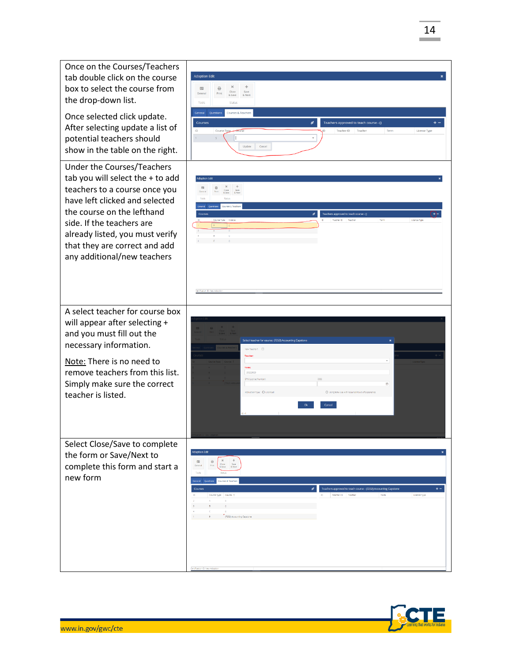

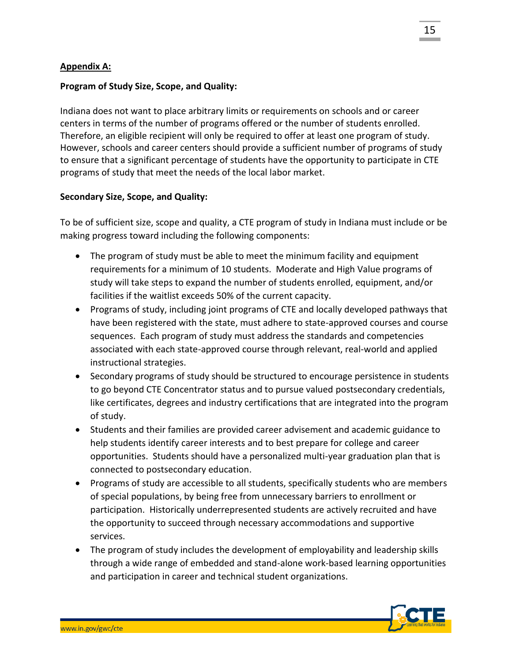# **Appendix A:**

## **Program of Study Size, Scope, and Quality:**

Indiana does not want to place arbitrary limits or requirements on schools and or career centers in terms of the number of programs offered or the number of students enrolled. Therefore, an eligible recipient will only be required to offer at least one program of study. However, schools and career centers should provide a sufficient number of programs of study to ensure that a significant percentage of students have the opportunity to participate in CTE programs of study that meet the needs of the local labor market.

## **Secondary Size, Scope, and Quality:**

To be of sufficient size, scope and quality, a CTE program of study in Indiana must include or be making progress toward including the following components:

- The program of study must be able to meet the minimum facility and equipment requirements for a minimum of 10 students. Moderate and High Value programs of study will take steps to expand the number of students enrolled, equipment, and/or facilities if the waitlist exceeds 50% of the current capacity.
- Programs of study, including joint programs of CTE and locally developed pathways that have been registered with the state, must adhere to state-approved courses and course sequences. Each program of study must address the standards and competencies associated with each state-approved course through relevant, real-world and applied instructional strategies.
- Secondary programs of study should be structured to encourage persistence in students to go beyond CTE Concentrator status and to pursue valued postsecondary credentials, like certificates, degrees and industry certifications that are integrated into the program of study.
- Students and their families are provided career advisement and academic guidance to help students identify career interests and to best prepare for college and career opportunities. Students should have a personalized multi-year graduation plan that is connected to postsecondary education.
- Programs of study are accessible to all students, specifically students who are members of special populations, by being free from unnecessary barriers to enrollment or participation. Historically underrepresented students are actively recruited and have the opportunity to succeed through necessary accommodations and supportive services.
- The program of study includes the development of employability and leadership skills through a wide range of embedded and stand-alone work-based learning opportunities and participation in career and technical student organizations.